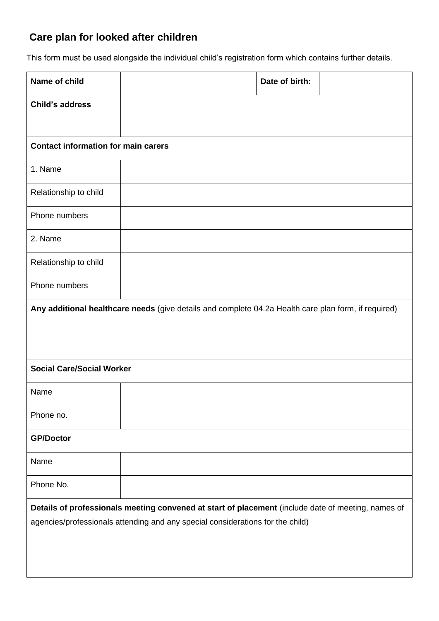## **Care plan for looked after children**

This form must be used alongside the individual child's registration form which contains further details.

| Name of child                                                                                        |  | Date of birth: |  |  |  |
|------------------------------------------------------------------------------------------------------|--|----------------|--|--|--|
| <b>Child's address</b>                                                                               |  |                |  |  |  |
|                                                                                                      |  |                |  |  |  |
| <b>Contact information for main carers</b>                                                           |  |                |  |  |  |
| 1. Name                                                                                              |  |                |  |  |  |
| Relationship to child                                                                                |  |                |  |  |  |
| Phone numbers                                                                                        |  |                |  |  |  |
| 2. Name                                                                                              |  |                |  |  |  |
| Relationship to child                                                                                |  |                |  |  |  |
| Phone numbers                                                                                        |  |                |  |  |  |
| Any additional healthcare needs (give details and complete 04.2a Health care plan form, if required) |  |                |  |  |  |
|                                                                                                      |  |                |  |  |  |
|                                                                                                      |  |                |  |  |  |
| <b>Social Care/Social Worker</b>                                                                     |  |                |  |  |  |
| Name                                                                                                 |  |                |  |  |  |
| Phone no.                                                                                            |  |                |  |  |  |
| <b>GP/Doctor</b>                                                                                     |  |                |  |  |  |
| Name                                                                                                 |  |                |  |  |  |
| Phone No.                                                                                            |  |                |  |  |  |
| Details of professionals meeting convened at start of placement (include date of meeting, names of   |  |                |  |  |  |
| agencies/professionals attending and any special considerations for the child)                       |  |                |  |  |  |
|                                                                                                      |  |                |  |  |  |
|                                                                                                      |  |                |  |  |  |